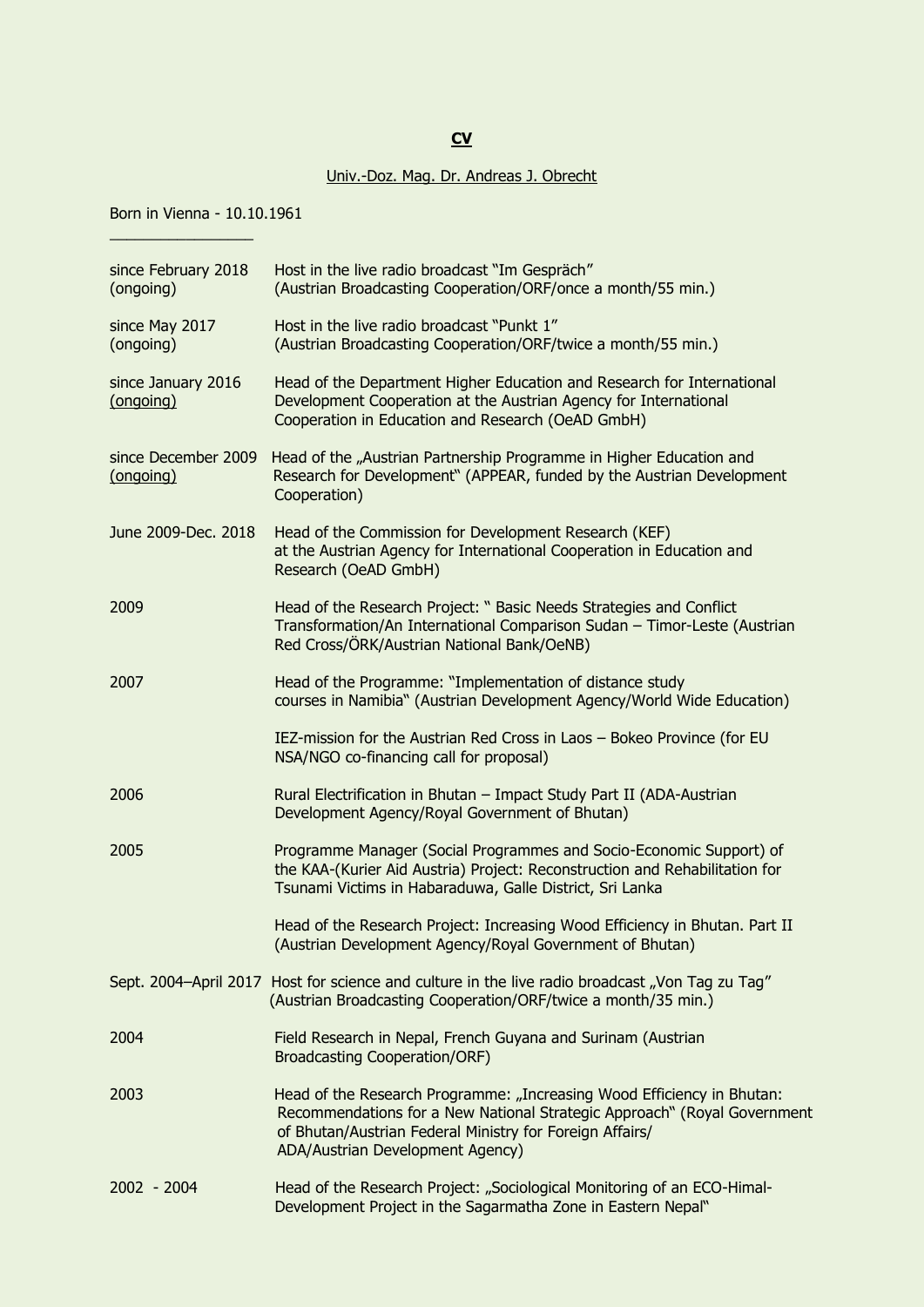## **CV**

## Univ.-Doz. Mag. Dr. Andreas J. Obrecht

Born in Vienna - 10.10.1961

 $\_$ 

| since February 2018<br>(ongoing) | Host in the live radio broadcast "Im Gespräch"<br>(Austrian Broadcasting Cooperation/ORF/once a month/55 min.)                                                                                                                                     |
|----------------------------------|----------------------------------------------------------------------------------------------------------------------------------------------------------------------------------------------------------------------------------------------------|
| since May 2017<br>(ongoing)      | Host in the live radio broadcast "Punkt 1"<br>(Austrian Broadcasting Cooperation/ORF/twice a month/55 min.)                                                                                                                                        |
| since January 2016<br>(ongoing)  | Head of the Department Higher Education and Research for International<br>Development Cooperation at the Austrian Agency for International<br>Cooperation in Education and Research (OeAD GmbH)                                                    |
| since December 2009<br>(ongoing) | Head of the "Austrian Partnership Programme in Higher Education and<br>Research for Development" (APPEAR, funded by the Austrian Development<br>Cooperation)                                                                                       |
| June 2009-Dec. 2018              | Head of the Commission for Development Research (KEF)<br>at the Austrian Agency for International Cooperation in Education and<br>Research (OeAD GmbH)                                                                                             |
| 2009                             | Head of the Research Project: " Basic Needs Strategies and Conflict<br>Transformation/An International Comparison Sudan - Timor-Leste (Austrian<br>Red Cross/ÖRK/Austrian National Bank/OeNB)                                                      |
| 2007                             | Head of the Programme: "Implementation of distance study<br>courses in Namibia" (Austrian Development Agency/World Wide Education)                                                                                                                 |
|                                  | IEZ-mission for the Austrian Red Cross in Laos - Bokeo Province (for EU<br>NSA/NGO co-financing call for proposal)                                                                                                                                 |
| 2006                             | Rural Electrification in Bhutan - Impact Study Part II (ADA-Austrian<br>Development Agency/Royal Government of Bhutan)                                                                                                                             |
| 2005                             | Programme Manager (Social Programmes and Socio-Economic Support) of<br>the KAA-(Kurier Aid Austria) Project: Reconstruction and Rehabilitation for<br>Tsunami Victims in Habaraduwa, Galle District, Sri Lanka                                     |
|                                  | Head of the Research Project: Increasing Wood Efficiency in Bhutan. Part II<br>(Austrian Development Agency/Royal Government of Bhutan)                                                                                                            |
|                                  | Sept. 2004-April 2017 Host for science and culture in the live radio broadcast "Von Tag zu Tag"<br>(Austrian Broadcasting Cooperation/ORF/twice a month/35 min.)                                                                                   |
| 2004                             | Field Research in Nepal, French Guyana and Surinam (Austrian<br><b>Broadcasting Cooperation/ORF)</b>                                                                                                                                               |
| 2003                             | Head of the Research Programme: "Increasing Wood Efficiency in Bhutan:<br>Recommendations for a New National Strategic Approach" (Royal Government<br>of Bhutan/Austrian Federal Ministry for Foreign Affairs/<br>ADA/Austrian Development Agency) |
| 2002 - 2004                      | Head of the Research Project: "Sociological Monitoring of an ECO-Himal-<br>Development Project in the Sagarmatha Zone in Eastern Nepal"                                                                                                            |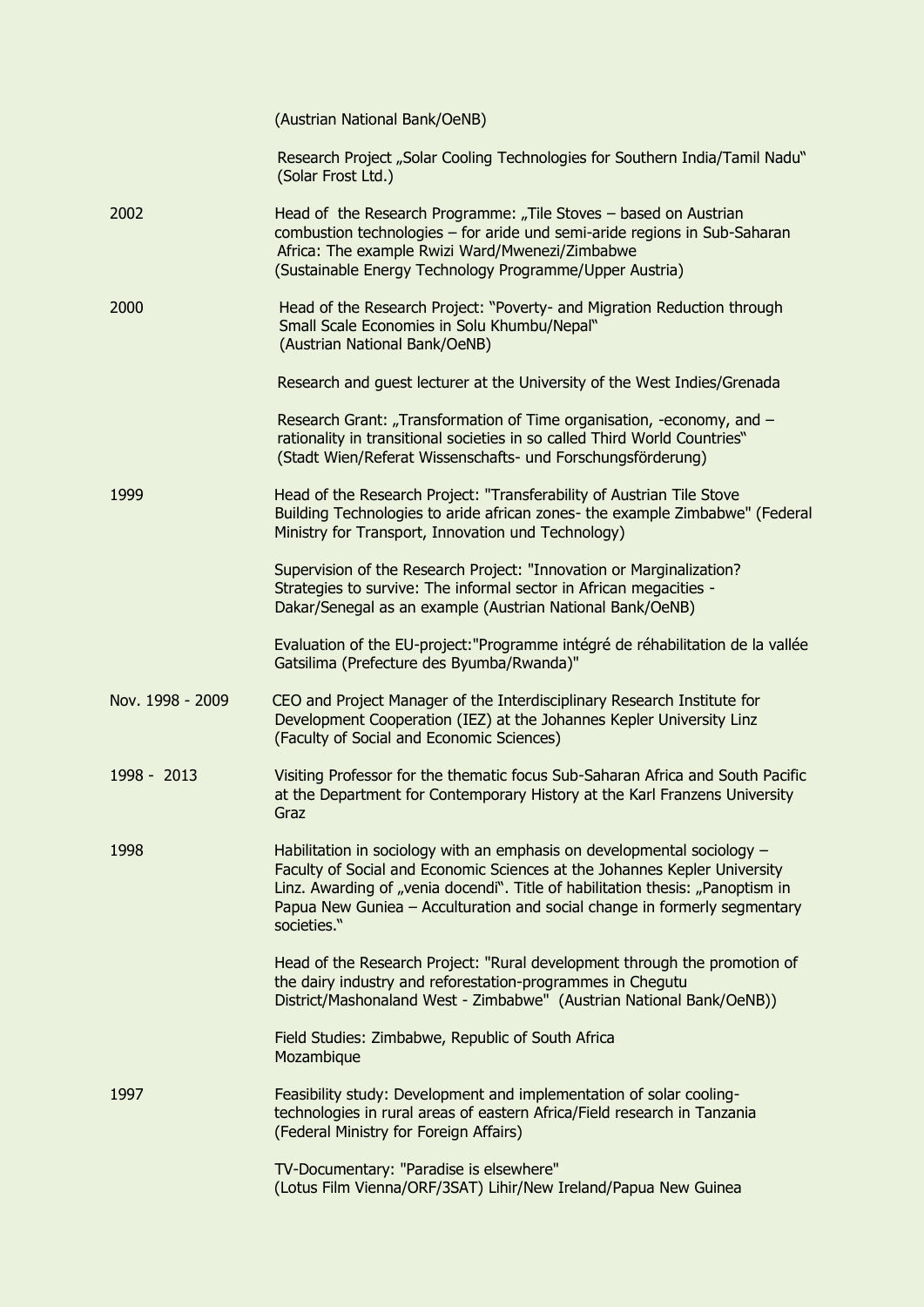|                  | (Austrian National Bank/OeNB)                                                                                                                                                                                                                                                                                                      |
|------------------|------------------------------------------------------------------------------------------------------------------------------------------------------------------------------------------------------------------------------------------------------------------------------------------------------------------------------------|
|                  | Research Project "Solar Cooling Technologies for Southern India/Tamil Nadu"<br>(Solar Frost Ltd.)                                                                                                                                                                                                                                  |
| 2002             | Head of the Research Programme: "Tile Stoves - based on Austrian<br>combustion technologies - for aride und semi-aride regions in Sub-Saharan<br>Africa: The example Rwizi Ward/Mwenezi/Zimbabwe<br>(Sustainable Energy Technology Programme/Upper Austria)                                                                        |
| 2000             | Head of the Research Project: "Poverty- and Migration Reduction through<br>Small Scale Economies in Solu Khumbu/Nepal"<br>(Austrian National Bank/OeNB)                                                                                                                                                                            |
|                  | Research and guest lecturer at the University of the West Indies/Grenada                                                                                                                                                                                                                                                           |
|                  | Research Grant: "Transformation of Time organisation, -economy, and -<br>rationality in transitional societies in so called Third World Countries"<br>(Stadt Wien/Referat Wissenschafts- und Forschungsförderung)                                                                                                                  |
| 1999             | Head of the Research Project: "Transferability of Austrian Tile Stove<br>Building Technologies to aride african zones- the example Zimbabwe" (Federal<br>Ministry for Transport, Innovation und Technology)                                                                                                                        |
|                  | Supervision of the Research Project: "Innovation or Marginalization?<br>Strategies to survive: The informal sector in African megacities -<br>Dakar/Senegal as an example (Austrian National Bank/OeNB)                                                                                                                            |
|                  | Evaluation of the EU-project: "Programme intégré de réhabilitation de la vallée<br>Gatsilima (Prefecture des Byumba/Rwanda)"                                                                                                                                                                                                       |
| Nov. 1998 - 2009 | CEO and Project Manager of the Interdisciplinary Research Institute for<br>Development Cooperation (IEZ) at the Johannes Kepler University Linz<br>(Faculty of Social and Economic Sciences)                                                                                                                                       |
| 1998 - 2013      | Visiting Professor for the thematic focus Sub-Saharan Africa and South Pacific<br>at the Department for Contemporary History at the Karl Franzens University<br>Graz                                                                                                                                                               |
| 1998             | Habilitation in sociology with an emphasis on developmental sociology -<br>Faculty of Social and Economic Sciences at the Johannes Kepler University<br>Linz. Awarding of "venia docendi". Title of habilitation thesis: "Panoptism in<br>Papua New Guniea - Acculturation and social change in formerly segmentary<br>societies." |
|                  | Head of the Research Project: "Rural development through the promotion of<br>the dairy industry and reforestation-programmes in Chegutu<br>District/Mashonaland West - Zimbabwe" (Austrian National Bank/OeNB))                                                                                                                    |
|                  | Field Studies: Zimbabwe, Republic of South Africa<br>Mozambique                                                                                                                                                                                                                                                                    |
| 1997             | Feasibility study: Development and implementation of solar cooling-<br>technologies in rural areas of eastern Africa/Field research in Tanzania<br>(Federal Ministry for Foreign Affairs)                                                                                                                                          |
|                  | TV-Documentary: "Paradise is elsewhere"<br>(Lotus Film Vienna/ORF/3SAT) Lihir/New Ireland/Papua New Guinea                                                                                                                                                                                                                         |